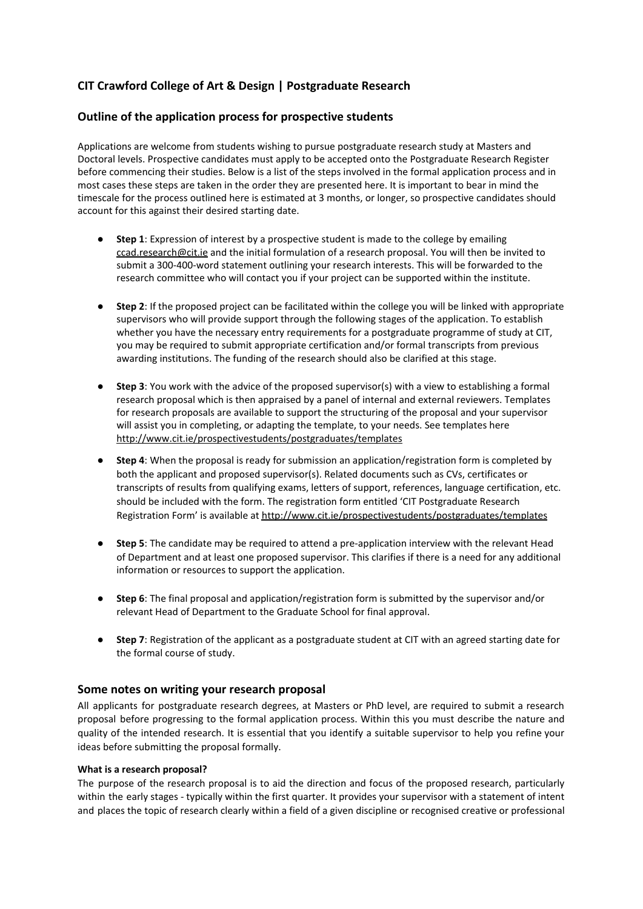# **CIT Crawford College of Art & Design | Postgraduate Research**

# **Outline of the application process for prospective students**

Applications are welcome from students wishing to pursue postgraduate research study at Masters and Doctoral levels. Prospective candidates must apply to be accepted onto the Postgraduate Research Register before commencing their studies. Below is a list of the steps involved in the formal application process and in most cases these steps are taken in the order they are presented here. It is important to bear in mind the timescale for the process outlined here is estimated at 3 months, or longer, so prospective candidates should account for this against their desired starting date.

- **Step 1**: Expression of interest by a prospective student is made to the college by emailing [ccad.research@cit.ie](mailto:ccad.research@cit.ie) and the initial formulation of a research proposal. You will then be invited to submit a 300-400-word statement outlining your research interests. This will be forwarded to the research committee who will contact you if your project can be supported within the institute.
- **Step 2**: If the proposed project can be facilitated within the college you will be linked with appropriate supervisors who will provide support through the following stages of the application. To establish whether you have the necessary entry requirements for a postgraduate programme of study at CIT, you may be required to submit appropriate certification and/or formal transcripts from previous awarding institutions. The funding of the research should also be clarified at this stage.
- **Step 3**: You work with the advice of the proposed supervisor(s) with a view to establishing a formal research proposal which is then appraised by a panel of internal and external reviewers. Templates for research proposals are available to support the structuring of the proposal and your supervisor will assist you in completing, or adapting the template, to your needs. See templates here <http://www.cit.ie/prospectivestudents/postgraduates/templates>
- **Step 4:** When the proposal is ready for submission an application/registration form is completed by both the applicant and proposed supervisor(s). Related documents such as CVs, certificates or transcripts of results from qualifying exams, letters of support, references, language certification, etc. should be included with the form. The registration form entitled 'CIT Postgraduate Research Registration Form' is available at <http://www.cit.ie/prospectivestudents/postgraduates/templates>
- **Step 5**: The candidate may be required to attend a pre-application interview with the relevant Head of Department and at least one proposed supervisor. This clarifies if there is a need for any additional information or resources to support the application.
- **Step 6**: The final proposal and application/registration form is submitted by the supervisor and/or relevant Head of Department to the Graduate School for final approval.
- **Step 7**: Registration of the applicant as a postgraduate student at CIT with an agreed starting date for the formal course of study.

# **Some notes on writing your research proposal**

All applicants for postgraduate research degrees, at Masters or PhD level, are required to submit a research proposal before progressing to the formal application process. Within this you must describe the nature and quality of the intended research. It is essential that you identify a suitable supervisor to help you refine your ideas before submitting the proposal formally.

#### **What is a research proposal?**

The purpose of the research proposal is to aid the direction and focus of the proposed research, particularly within the early stages - typically within the first quarter. It provides your supervisor with a statement of intent and places the topic of research clearly within a field of a given discipline or recognised creative or professional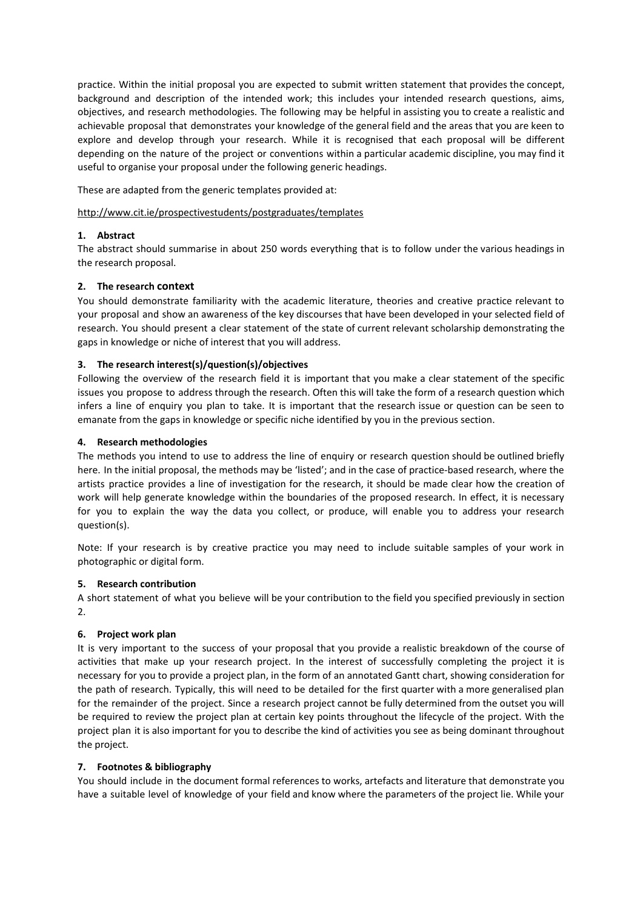practice. Within the initial proposal you are expected to submit written statement that provides the concept, background and description of the intended work; this includes your intended research questions, aims, objectives, and research methodologies. The following may be helpful in assisting you to create a realistic and achievable proposal that demonstrates your knowledge of the general field and the areas that you are keen to explore and develop through your research. While it is recognised that each proposal will be different depending on the nature of the project or conventions within a particular academic discipline, you may find it useful to organise your proposal under the following generic headings.

These are adapted from the generic templates provided at:

#### <http://www.cit.ie/prospectivestudents/postgraduates/templates>

#### **1. Abstract**

The abstract should summarise in about 250 words everything that is to follow under the various headings in the research proposal.

#### **2. The research context**

You should demonstrate familiarity with the academic literature, theories and creative practice relevant to your proposal and show an awareness of the key discourses that have been developed in your selected field of research. You should present a clear statement of the state of current relevant scholarship demonstrating the gaps in knowledge or niche of interest that you will address.

## **3. The research interest(s)/question(s)/objectives**

Following the overview of the research field it is important that you make a clear statement of the specific issues you propose to address through the research. Often this will take the form of a research question which infers a line of enquiry you plan to take. It is important that the research issue or question can be seen to emanate from the gaps in knowledge or specific niche identified by you in the previous section.

## **4. Research methodologies**

The methods you intend to use to address the line of enquiry or research question should be outlined briefly here. In the initial proposal, the methods may be 'listed'; and in the case of practice-based research, where the artists practice provides a line of investigation for the research, it should be made clear how the creation of work will help generate knowledge within the boundaries of the proposed research. In effect, it is necessary for you to explain the way the data you collect, or produce, will enable you to address your research question(s).

Note: If your research is by creative practice you may need to include suitable samples of your work in photographic or digital form.

#### **5. Research contribution**

A short statement of what you believe will be your contribution to the field you specified previously in section 2.

#### **6. Project work plan**

It is very important to the success of your proposal that you provide a realistic breakdown of the course of activities that make up your research project. In the interest of successfully completing the project it is necessary for you to provide a project plan, in the form of an annotated Gantt chart, showing consideration for the path of research. Typically, this will need to be detailed for the first quarter with a more generalised plan for the remainder of the project. Since a research project cannot be fully determined from the outset you will be required to review the project plan at certain key points throughout the lifecycle of the project. With the project plan it is also important for you to describe the kind of activities you see as being dominant throughout the project.

#### **7. Footnotes & bibliography**

You should include in the document formal references to works, artefacts and literature that demonstrate you have a suitable level of knowledge of your field and know where the parameters of the project lie. While your